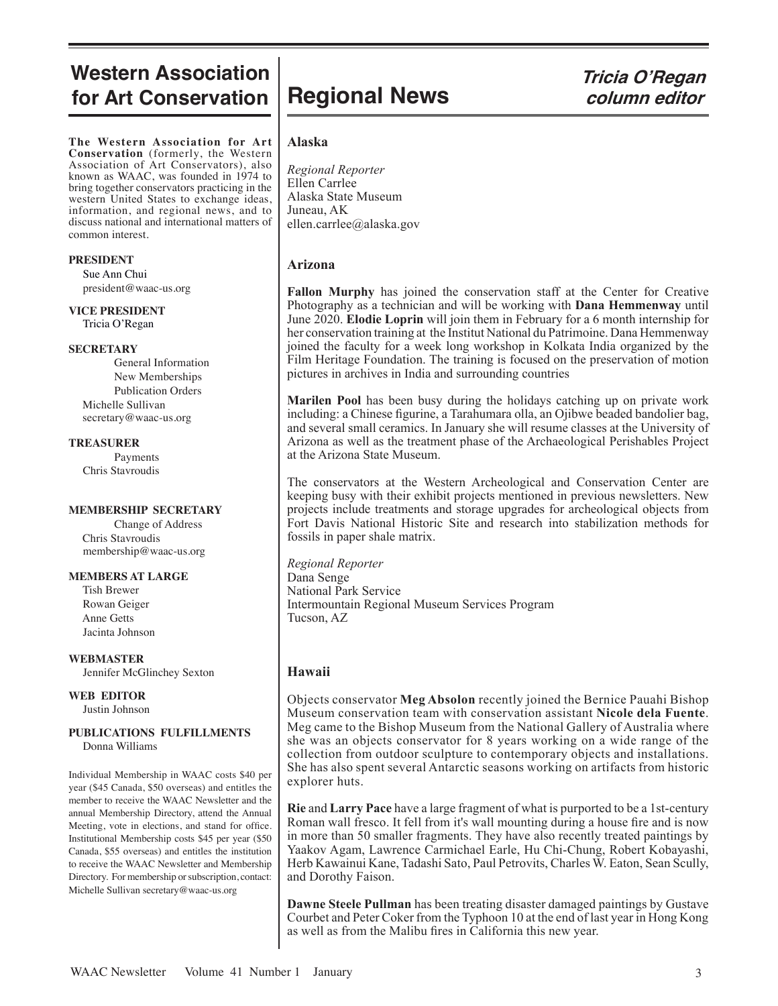# **Western Association for Art Conservation**

**The Western Association for Art Conservation** (formerly, the Western Association of Art Conservators), also known as WAAC, was founded in 1974 to bring together conservators practicing in the western United States to exchange ideas, information, and regional news, and to discuss national and international matters of common interest.

#### **PRESIDENT**

 Sue Ann Chui president@waac-us.org

**VICE PRESIDENT** Tricia O'Regan

#### **SECRETARY**

General Information New Memberships Publication Orders Michelle Sullivan secretary@waac-us.org

#### **TREASURER**

Payments Chris Stavroudis

#### **MEMBERSHIP SECRETARY**

Change of Address Chris Stavroudis membership@waac-us.org

#### **MEMBERS AT LARGE**

 Tish Brewer Rowan Geiger Anne Getts Jacinta Johnson

**WEBMASTER** Jennifer McGlinchey Sexton

#### **WEB EDITOR** Justin Johnson

# **PUBLICATIONS FULFILLMENTS**

Donna Williams

Individual Membership in WAAC costs \$40 per year (\$45 Canada, \$50 overseas) and entitles the member to receive the WAAC Newsletter and the annual Membership Directory, attend the Annual Meeting, vote in elections, and stand for office. Institutional Membership costs \$45 per year (\$50 Canada, \$55 overseas) and entitles the institution to receive the WAAC Newsletter and Membership Directory. For membership or subscription, contact: Michelle Sullivan secretary@waac-us.org

# **Regional News** Tricia O'Regan<br>*column editor*  **column editor**

### **Alaska**

*Regional Reporter* Ellen Carrlee Alaska State Museum Juneau, AK ellen.carrlee@alaska.gov

# **Arizona**

**Fallon Murphy** has joined the conservation staff at the Center for Creative Photography as a technician and will be working with **Dana Hemmenway** until June 2020. **Elodie Loprin** will join them in February for a 6 month internship for her conservation training at the Institut National du Patrimoine. Dana Hemmenway joined the faculty for a week long workshop in Kolkata India organized by the Film Heritage Foundation. The training is focused on the preservation of motion pictures in archives in India and surrounding countries

**Marilen Pool** has been busy during the holidays catching up on private work including: a Chinese figurine, a Tarahumara olla, an Ojibwe beaded bandolier bag, and several small ceramics. In January she will resume classes at the University of Arizona as well as the treatment phase of the Archaeological Perishables Project at the Arizona State Museum.

The conservators at the Western Archeological and Conservation Center are keeping busy with their exhibit projects mentioned in previous newsletters. New projects include treatments and storage upgrades for archeological objects from Fort Davis National Historic Site and research into stabilization methods for fossils in paper shale matrix.

*Regional Reporter* Dana Senge National Park Service Intermountain Regional Museum Services Program Tucson, AZ

## **Hawaii**

Objects conservator **Meg Absolon** recently joined the Bernice Pauahi Bishop Museum conservation team with conservation assistant **Nicole dela Fuente**. Meg came to the Bishop Museum from the National Gallery of Australia where she was an objects conservator for 8 years working on a wide range of the collection from outdoor sculpture to contemporary objects and installations. She has also spent several Antarctic seasons working on artifacts from historic explorer huts.

**Rie** and **Larry Pace** have a large fragment of what is purported to be a 1st-century Roman wall fresco. It fell from it's wall mounting during a house fire and is now in more than 50 smaller fragments. They have also recently treated paintings by Yaakov Agam, Lawrence Carmichael Earle, Hu Chi-Chung, Robert Kobayashi, Herb Kawainui Kane, Tadashi Sato, Paul Petrovits, Charles W. Eaton, Sean Scully, and Dorothy Faison.

**Dawne Steele Pullman** has been treating disaster damaged paintings by Gustave Courbet and Peter Coker from the Typhoon 10 at the end of last year in Hong Kong as well as from the Malibu fires in California this new year.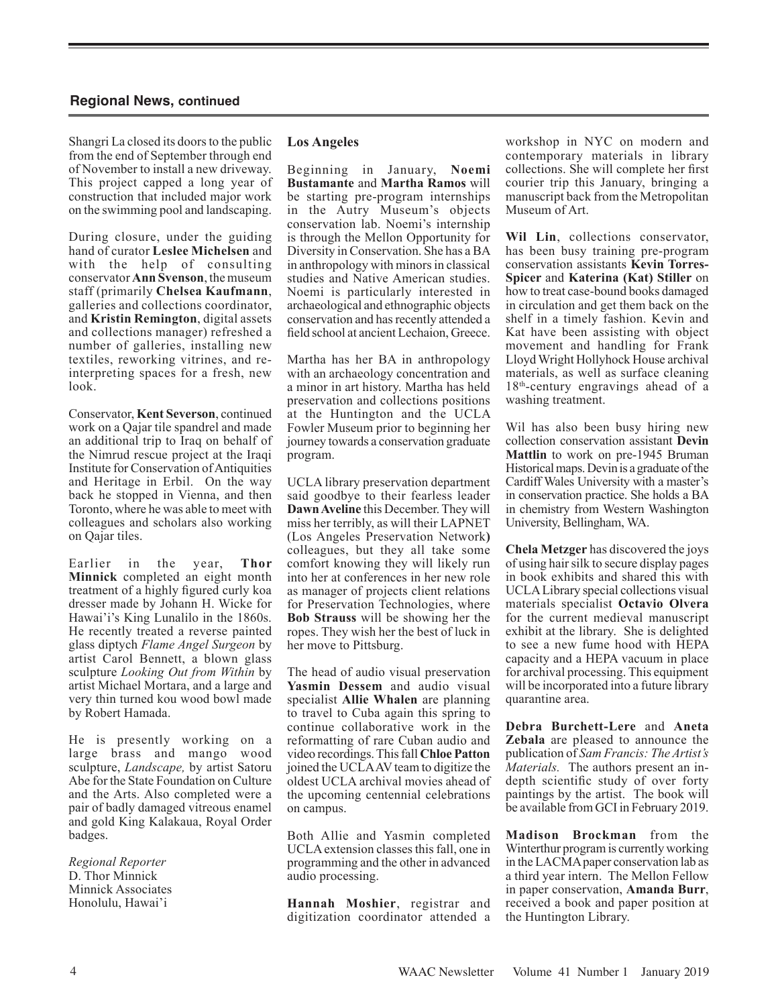Shangri La closed its doors to the public from the end of September through end of November to install a new driveway. This project capped a long year of construction that included major work on the swimming pool and landscaping.

During closure, under the guiding hand of curator **Leslee Michelsen** and with the help of consulting conservator **Ann Svenson**, the museum staff (primarily **Chelsea Kaufmann**, galleries and collections coordinator, and **Kristin Remington**, digital assets and collections manager) refreshed a number of galleries, installing new textiles, reworking vitrines, and reinterpreting spaces for a fresh, new look.

Conservator, **Kent Severson**, continued work on a Qajar tile spandrel and made an additional trip to Iraq on behalf of the Nimrud rescue project at the Iraqi Institute for Conservation of Antiquities and Heritage in Erbil. On the way back he stopped in Vienna, and then Toronto, where he was able to meet with colleagues and scholars also working on Qajar tiles.

Earlier in the year, **Thor Minnick** completed an eight month treatment of a highly figured curly koa dresser made by Johann H. Wicke for Hawai'i's King Lunalilo in the 1860s. He recently treated a reverse painted glass diptych *Flame Angel Surgeon* by artist Carol Bennett, a blown glass sculpture *Looking Out from Within* by artist Michael Mortara, and a large and very thin turned kou wood bowl made by Robert Hamada.

He is presently working on a large brass and mango wood sculpture, *Landscape,* by artist Satoru Abe for the State Foundation on Culture and the Arts. Also completed were a pair of badly damaged vitreous enamel and gold King Kalakaua, Royal Order badges.

*Regional Reporter* D. Thor Minnick Minnick Associates Honolulu, Hawai'i

#### **Los Angeles**

Beginning in January, **Noemi Bustamante** and **Martha Ramos** will be starting pre-program internships in the Autry Museum's objects conservation lab. Noemi's internship is through the Mellon Opportunity for Diversity in Conservation. She has a BA in anthropology with minors in classical studies and Native American studies. Noemi is particularly interested in archaeological and ethnographic objects conservation and has recently attended a field school at ancient Lechaion, Greece.

Martha has her BA in anthropology with an archaeology concentration and a minor in art history. Martha has held preservation and collections positions at the Huntington and the UCLA Fowler Museum prior to beginning her journey towards a conservation graduate program.

UCLA library preservation department said goodbye to their fearless leader **Dawn Aveline** this December. They will miss her terribly, as will their LAPNET (Los Angeles Preservation Network**)** colleagues, but they all take some comfort knowing they will likely run into her at conferences in her new role as manager of projects client relations for Preservation Technologies, where **Bob Strauss** will be showing her the ropes. They wish her the best of luck in her move to Pittsburg.

The head of audio visual preservation **Yasmin Dessem** and audio visual specialist **Allie Whalen** are planning to travel to Cuba again this spring to continue collaborative work in the reformatting of rare Cuban audio and video recordings. This fall **Chloe Patton** joined the UCLA AV team to digitize the oldest UCLA archival movies ahead of the upcoming centennial celebrations on campus.

Both Allie and Yasmin completed UCLA extension classes this fall, one in programming and the other in advanced audio processing.

**Hannah Moshier**, registrar and digitization coordinator attended a workshop in NYC on modern and contemporary materials in library collections. She will complete her first courier trip this January, bringing a manuscript back from the Metropolitan Museum of Art.

**Wil Lin**, collections conservator, has been busy training pre-program conservation assistants **Kevin Torres-Spicer** and **Katerina (Kat) Stiller** on how to treat case-bound books damaged in circulation and get them back on the shelf in a timely fashion. Kevin and Kat have been assisting with object movement and handling for Frank Lloyd Wright Hollyhock House archival materials, as well as surface cleaning 18<sup>th</sup>-century engravings ahead of a washing treatment.

Wil has also been busy hiring new collection conservation assistant **Devin Mattlin** to work on pre-1945 Bruman Historical maps. Devin is a graduate of the Cardiff Wales University with a master's in conservation practice. She holds a BA in chemistry from Western Washington University, Bellingham, WA.

**Chela Metzger** has discovered the joys of using hair silk to secure display pages in book exhibits and shared this with UCLA Library special collections visual materials specialist **Octavio Olvera** for the current medieval manuscript exhibit at the library. She is delighted to see a new fume hood with HEPA capacity and a HEPA vacuum in place for archival processing. This equipment will be incorporated into a future library quarantine area.

**Debra Burchett-Lere** and **Aneta Zebala** are pleased to announce the publication of *Sam Francis: The Artist's Materials.* The authors present an indepth scientific study of over forty paintings by the artist. The book will be available from GCI in February 2019.

**Madison Brockman** from the Winterthur program is currently working in the LACMA paper conservation lab as a third year intern. The Mellon Fellow in paper conservation, **Amanda Burr**, received a book and paper position at the Huntington Library.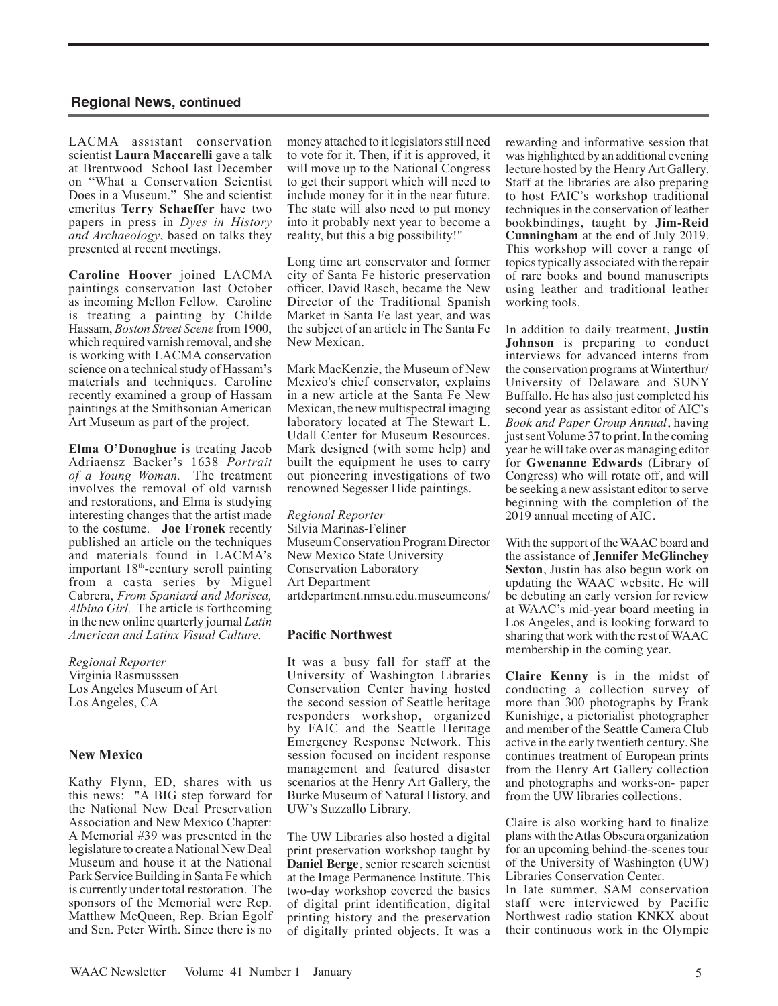LACMA assistant conservation scientist **Laura Maccarelli** gave a talk at Brentwood School last December on "What a Conservation Scientist Does in a Museum." She and scientist emeritus **Terry Schaeffer** have two papers in press in *Dyes in History and Archaeology*, based on talks they presented at recent meetings.

**Caroline Hoover** joined LACMA paintings conservation last October as incoming Mellon Fellow. Caroline is treating a painting by Childe Hassam, *Boston Street Scene* from 1900, which required varnish removal, and she is working with LACMA conservation science on a technical study of Hassam's materials and techniques. Caroline recently examined a group of Hassam paintings at the Smithsonian American Art Museum as part of the project.

**Elma O'Donoghue** is treating Jacob Adriaensz Backer's 1638 *Portrait of a Young Woman.* The treatment involves the removal of old varnish and restorations, and Elma is studying interesting changes that the artist made to the costume. **Joe Fronek** recently published an article on the techniques and materials found in LACMA's important 18<sup>th</sup>-century scroll painting from a casta series by Miguel Cabrera, *From Spaniard and Morisca, Albino Girl.* The article is forthcoming in the new online quarterly journal *Latin American and Latinx Visual Culture.*

*Regional Reporter* Virginia Rasmusssen Los Angeles Museum of Art Los Angeles, CA

#### **New Mexico**

Kathy Flynn, ED, shares with us this news: "A BIG step forward for the National New Deal Preservation Association and New Mexico Chapter: A Memorial #39 was presented in the legislature to create a National New Deal Museum and house it at the National Park Service Building in Santa Fe which is currently under total restoration. The sponsors of the Memorial were Rep. Matthew McQueen, Rep. Brian Egolf and Sen. Peter Wirth. Since there is no

money attached to it legislators still need to vote for it. Then, if it is approved, it will move up to the National Congress to get their support which will need to include money for it in the near future. The state will also need to put money into it probably next year to become a reality, but this a big possibility!"

Long time art conservator and former city of Santa Fe historic preservation officer, David Rasch, became the New Director of the Traditional Spanish Market in Santa Fe last year, and was the subject of an article in The Santa Fe New Mexican.

Mark MacKenzie, the Museum of New Mexico's chief conservator, explains in a new article at the Santa Fe New Mexican, the new multispectral imaging laboratory located at The Stewart L. Udall Center for Museum Resources. Mark designed (with some help) and built the equipment he uses to carry out pioneering investigations of two renowned Segesser Hide paintings.

*Regional Reporter* Silvia Marinas-Feliner Museum Conservation Program Director New Mexico State University Conservation Laboratory Art Department artdepartment.nmsu.edu.museumcons/

#### **Pacific Northwest**

It was a busy fall for staff at the University of Washington Libraries Conservation Center having hosted the second session of Seattle heritage responders workshop, organized by FAIC and the Seattle Heritage Emergency Response Network. This session focused on incident response management and featured disaster scenarios at the Henry Art Gallery, the Burke Museum of Natural History, and UW's Suzzallo Library.

The UW Libraries also hosted a digital print preservation workshop taught by **Daniel Berge**, senior research scientist at the Image Permanence Institute. This two-day workshop covered the basics of digital print identification, digital printing history and the preservation of digitally printed objects. It was a rewarding and informative session that was highlighted by an additional evening lecture hosted by the Henry Art Gallery. Staff at the libraries are also preparing to host FAIC's workshop traditional techniques in the conservation of leather bookbindings, taught by **Jim-Reid Cunningham** at the end of July 2019. This workshop will cover a range of topics typically associated with the repair of rare books and bound manuscripts using leather and traditional leather working tools.

In addition to daily treatment, **Justin Johnson** is preparing to conduct interviews for advanced interns from the conservation programs at Winterthur/ University of Delaware and SUNY Buffallo. He has also just completed his second year as assistant editor of AIC's *Book and Paper Group Annual*, having just sent Volume 37 to print. In the coming year he will take over as managing editor for **Gwenanne Edwards** (Library of Congress) who will rotate off, and will be seeking a new assistant editor to serve beginning with the completion of the 2019 annual meeting of AIC.

With the support of the WAAC board and the assistance of **Jennifer McGlinchey Sexton**, Justin has also begun work on updating the WAAC website. He will be debuting an early version for review at WAAC's mid-year board meeting in Los Angeles, and is looking forward to sharing that work with the rest of WAAC membership in the coming year.

**Claire Kenny** is in the midst of conducting a collection survey of more than 300 photographs by Frank Kunishige, a pictorialist photographer and member of the Seattle Camera Club active in the early twentieth century. She continues treatment of European prints from the Henry Art Gallery collection and photographs and works-on- paper from the UW libraries collections.

Claire is also working hard to finalize plans with the Atlas Obscura organization for an upcoming behind-the-scenes tour of the University of Washington (UW) Libraries Conservation Center.

In late summer, SAM conservation staff were interviewed by Pacific Northwest radio station KNKX about their continuous work in the Olympic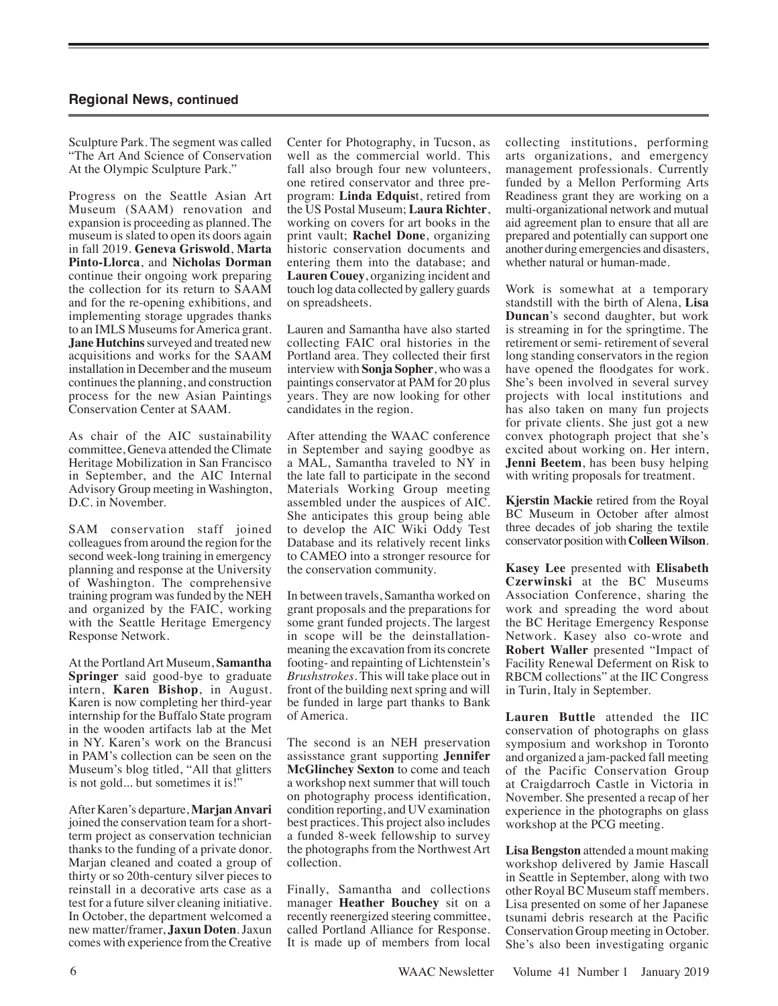Sculpture Park. The segment was called "The Art And Science of Conservation At the Olympic Sculpture Park."

Progress on the Seattle Asian Art Museum (SAAM) renovation and expansion is proceeding as planned. The museum is slated to open its doors again in fall 2019. **Geneva Griswold**, **Marta Pinto-Llorca**, and **Nicholas Dorman**  continue their ongoing work preparing the collection for its return to SAAM and for the re-opening exhibitions, and implementing storage upgrades thanks to an IMLS Museums for America grant. **Jane Hutchins** surveyed and treated new acquisitions and works for the SAAM installation in December and the museum continues the planning, and construction process for the new Asian Paintings Conservation Center at SAAM.

As chair of the AIC sustainability committee, Geneva attended the Climate Heritage Mobilization in San Francisco in September, and the AIC Internal Advisory Group meeting in Washington, D.C. in November.

SAM conservation staff joined colleagues from around the region for the second week-long training in emergency planning and response at the University of Washington. The comprehensive training program was funded by the NEH and organized by the FAIC, working with the Seattle Heritage Emergency Response Network.

At the Portland Art Museum, **Samantha Springer** said good-bye to graduate intern, **Karen Bishop**, in August. Karen is now completing her third-year internship for the Buffalo State program in the wooden artifacts lab at the Met in NY. Karen's work on the Brancusi in PAM's collection can be seen on the Museum's blog titled, "All that glitters is not gold... but sometimes it is!"

After Karen's departure, **Marjan Anvari**  joined the conservation team for a shortterm project as conservation technician thanks to the funding of a private donor. Marjan cleaned and coated a group of thirty or so 20th-century silver pieces to reinstall in a decorative arts case as a test for a future silver cleaning initiative. In October, the department welcomed a new matter/framer, **Jaxun Doten**. Jaxun comes with experience from the Creative

Center for Photography, in Tucson, as well as the commercial world. This fall also brough four new volunteers, one retired conservator and three preprogram: **Linda Edquis**t, retired from the US Postal Museum; **Laura Richter**, working on covers for art books in the print vault; **Rachel Done**, organizing historic conservation documents and entering them into the database; and **Lauren Couey**, organizing incident and touch log data collected by gallery guards on spreadsheets.

Lauren and Samantha have also started collecting FAIC oral histories in the Portland area. They collected their first interview with **Sonja Sopher**, who was a paintings conservator at PAM for 20 plus years. They are now looking for other candidates in the region.

After attending the WAAC conference in September and saying goodbye as a MAL, Samantha traveled to NY in the late fall to participate in the second Materials Working Group meeting assembled under the auspices of AIC. She anticipates this group being able to develop the AIC Wiki Oddy Test Database and its relatively recent links to CAMEO into a stronger resource for the conservation community.

In between travels, Samantha worked on grant proposals and the preparations for some grant funded projects. The largest in scope will be the deinstallationmeaning the excavation from its concrete footing- and repainting of Lichtenstein's *Brushstrokes*. This will take place out in front of the building next spring and will be funded in large part thanks to Bank of America.

The second is an NEH preservation assisstance grant supporting **Jennifer McGlinchey Sexton** to come and teach a workshop next summer that will touch on photography process identification, condition reporting, and UV examination best practices. This project also includes a funded 8-week fellowship to survey the photographs from the Northwest Art collection.

Finally, Samantha and collections manager **Heather Bouchey** sit on a recently reenergized steering committee, called Portland Alliance for Response. It is made up of members from local collecting institutions, performing arts organizations, and emergency management professionals. Currently funded by a Mellon Performing Arts Readiness grant they are working on a multi-organizational network and mutual aid agreement plan to ensure that all are prepared and potentially can support one another during emergencies and disasters, whether natural or human-made.

Work is somewhat at a temporary standstill with the birth of Alena, **Lisa Duncan**'s second daughter, but work is streaming in for the springtime. The retirement or semi- retirement of several long standing conservators in the region have opened the floodgates for work. She's been involved in several survey projects with local institutions and has also taken on many fun projects for private clients. She just got a new convex photograph project that she's excited about working on. Her intern, **Jenni Beetem**, has been busy helping with writing proposals for treatment.

**Kjerstin Mackie** retired from the Royal BC Museum in October after almost three decades of job sharing the textile conservator position with **Colleen Wilson**.

**Kasey Lee** presented with **Elisabeth Czerwinski** at the BC Museums Association Conference, sharing the work and spreading the word about the BC Heritage Emergency Response Network. Kasey also co-wrote and **Robert Waller** presented "Impact of Facility Renewal Deferment on Risk to RBCM collections" at the IIC Congress in Turin, Italy in September.

**Lauren Buttle** attended the IIC conservation of photographs on glass symposium and workshop in Toronto and organized a jam-packed fall meeting of the Pacific Conservation Group at Craigdarroch Castle in Victoria in November. She presented a recap of her experience in the photographs on glass workshop at the PCG meeting.

**Lisa Bengston** attended a mount making workshop delivered by Jamie Hascall in Seattle in September, along with two other Royal BC Museum staff members. Lisa presented on some of her Japanese tsunami debris research at the Pacific Conservation Group meeting in October. She's also been investigating organic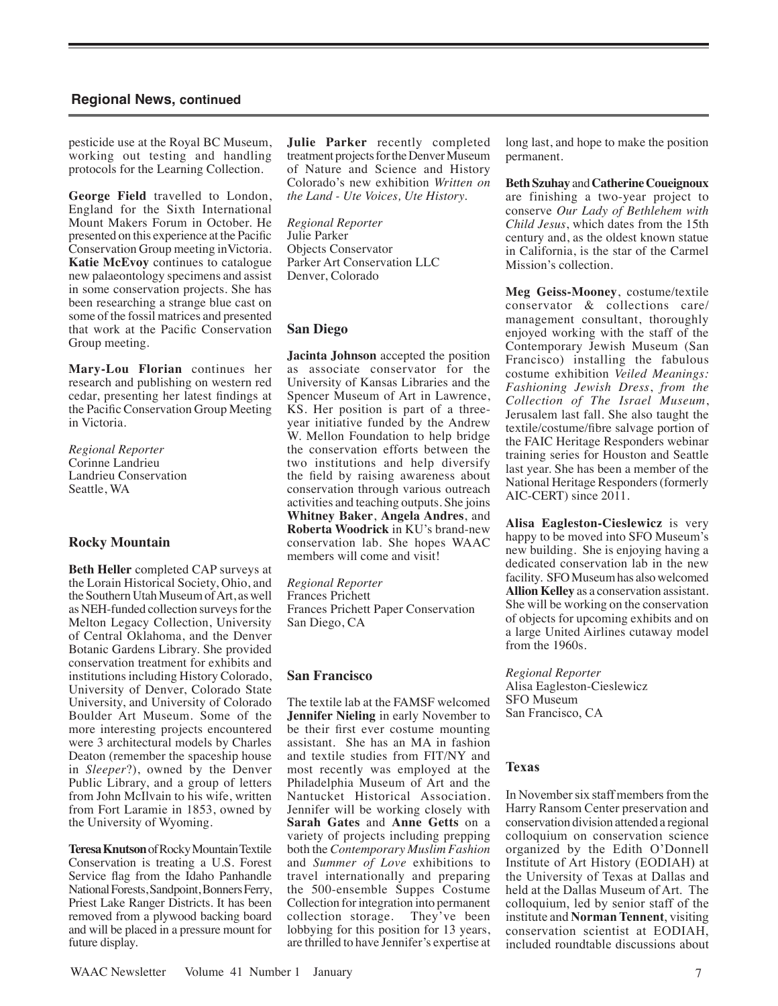pesticide use at the Royal BC Museum, working out testing and handling protocols for the Learning Collection.

**George Field** travelled to London, England for the Sixth International Mount Makers Forum in October. He presented on this experience at the Pacific Conservation Group meeting inVictoria. **Katie McEvoy** continues to catalogue new palaeontology specimens and assist in some conservation projects. She has been researching a strange blue cast on some of the fossil matrices and presented that work at the Pacific Conservation Group meeting.

**Mary-Lou Florian** continues her research and publishing on western red cedar, presenting her latest findings at the Pacific Conservation Group Meeting in Victoria.

*Regional Reporter* Corinne Landrieu Landrieu Conservation Seattle, WA

#### **Rocky Mountain**

**Beth Heller** completed CAP surveys at the Lorain Historical Society, Ohio, and the Southern Utah Museum of Art, as well as NEH-funded collection surveys for the Melton Legacy Collection, University of Central Oklahoma, and the Denver Botanic Gardens Library. She provided conservation treatment for exhibits and institutions including History Colorado, University of Denver, Colorado State University, and University of Colorado Boulder Art Museum. Some of the more interesting projects encountered were 3 architectural models by Charles Deaton (remember the spaceship house in *Sleeper*?), owned by the Denver Public Library, and a group of letters from John McIlvain to his wife, written from Fort Laramie in 1853, owned by the University of Wyoming.

**Teresa Knutson**of Rocky Mountain Textile Conservation is treating a U.S. Forest Service flag from the Idaho Panhandle National Forests, Sandpoint, Bonners Ferry, Priest Lake Ranger Districts. It has been removed from a plywood backing board and will be placed in a pressure mount for future display.

**Julie Parker** recently completed treatment projects for the Denver Museum of Nature and Science and History Colorado's new exhibition *Written on the Land - Ute Voices, Ute History.*

*Regional Reporter* Julie Parker Objects Conservator Parker Art Conservation LLC Denver, Colorado

#### **San Diego**

**Jacinta Johnson** accepted the position as associate conservator for the University of Kansas Libraries and the Spencer Museum of Art in Lawrence, KS. Her position is part of a threeyear initiative funded by the Andrew W. Mellon Foundation to help bridge the conservation efforts between the two institutions and help diversify the field by raising awareness about conservation through various outreach activities and teaching outputs. She joins **Whitney Baker**, **Angela Andres**, and **Roberta Woodrick** in KU's brand-new conservation lab. She hopes WAAC members will come and visit!

*Regional Reporter* Frances Prichett Frances Prichett Paper Conservation San Diego, CA

#### **San Francisco**

The textile lab at the FAMSF welcomed **Jennifer Nieling** in early November to be their first ever costume mounting assistant. She has an MA in fashion and textile studies from FIT/NY and most recently was employed at the Philadelphia Museum of Art and the Nantucket Historical Association. Jennifer will be working closely with **Sarah Gates** and **Anne Getts** on a variety of projects including prepping both the *Contemporary Muslim Fashion*  and *Summer of Love* exhibitions to travel internationally and preparing the 500-ensemble Suppes Costume Collection for integration into permanent collection storage. They've been lobbying for this position for 13 years, are thrilled to have Jennifer's expertise at **Beth Szuhay** and **Catherine Coueignoux** are finishing a two-year project to conserve *Our Lady of Bethlehem with Child Jesus*, which dates from the 15th century and, as the oldest known statue in California, is the star of the Carmel Mission's collection.

**Meg Geiss-Mooney**, costume/textile conservator & collections care/ management consultant, thoroughly enjoyed working with the staff of the Contemporary Jewish Museum (San Francisco) installing the fabulous costume exhibition *Veiled Meanings: Fashioning Jewish Dress*, *from the Collection of The Israel Museum*, Jerusalem last fall. She also taught the textile/costume/fibre salvage portion of the FAIC Heritage Responders webinar training series for Houston and Seattle last year. She has been a member of the National Heritage Responders (formerly AIC-CERT) since 2011.

**Alisa Eagleston-Cieslewicz** is very happy to be moved into SFO Museum's new building. She is enjoying having a dedicated conservation lab in the new facility. SFO Museum has also welcomed **Allion Kelley** as a conservation assistant. She will be working on the conservation of objects for upcoming exhibits and on a large United Airlines cutaway model from the 1960s.

*Regional Reporter* Alisa Eagleston-Cieslewicz SFO Museum San Francisco, CA

#### **Texas**

In November six staff members from the Harry Ransom Center preservation and conservation division attended a regional colloquium on conservation science organized by the Edith O'Donnell Institute of Art History (EODIAH) at the University of Texas at Dallas and held at the Dallas Museum of Art. The colloquium, led by senior staff of the institute and **Norman Tennent**, visiting conservation scientist at EODIAH, included roundtable discussions about